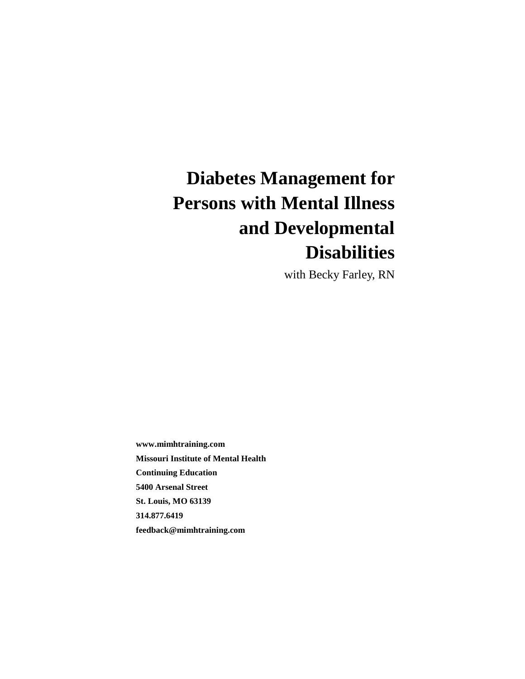# **Diabetes Management for Persons with Mental Illness and Developmental Disabilities**

with Becky Farley, RN

**www.mimhtraining.com Missouri Institute of Mental Health Continuing Education 5400 Arsenal Street St. Louis, MO 63139 314.877.6419 feedback@mimhtraining.com**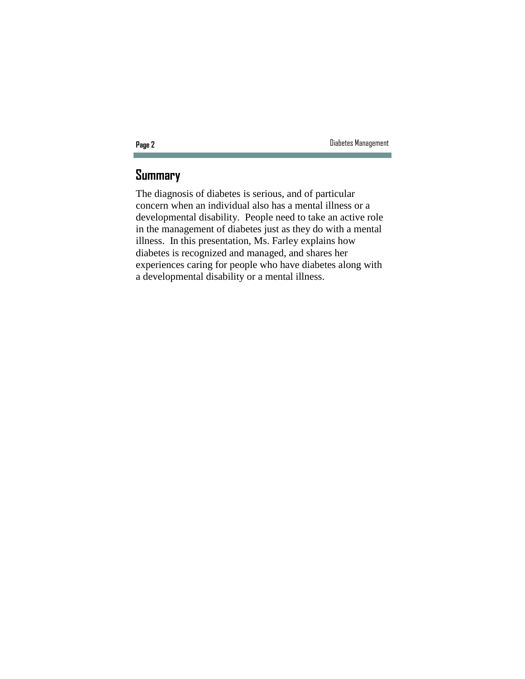## **Summary**

The diagnosis of diabetes is serious, and of particular concern when an individual also has a mental illness or a developmental disability. People need to take an active role in the management of diabetes just as they do with a mental illness. In this presentation, Ms. Farley explains how diabetes is recognized and managed, and shares her experiences caring for people who have diabetes along with a developmental disability or a mental illness.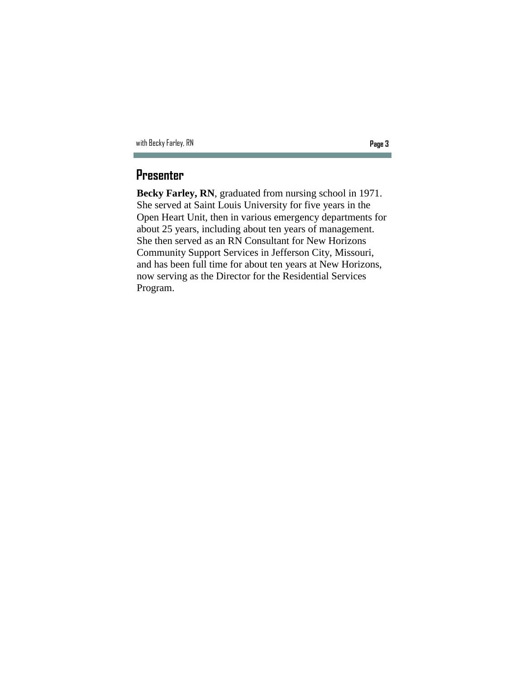| with Becky Farley, RN | Page 3 |
|-----------------------|--------|
|-----------------------|--------|

## **Presenter**

**Becky Farley, RN**, graduated from nursing school in 1971. She served at Saint Louis University for five years in the Open Heart Unit, then in various emergency departments for about 25 years, including about ten years of management. She then served as an RN Consultant for New Horizons Community Support Services in Jefferson City, Missouri, and has been full time for about ten years at New Horizons, now serving as the Director for the Residential Services Program.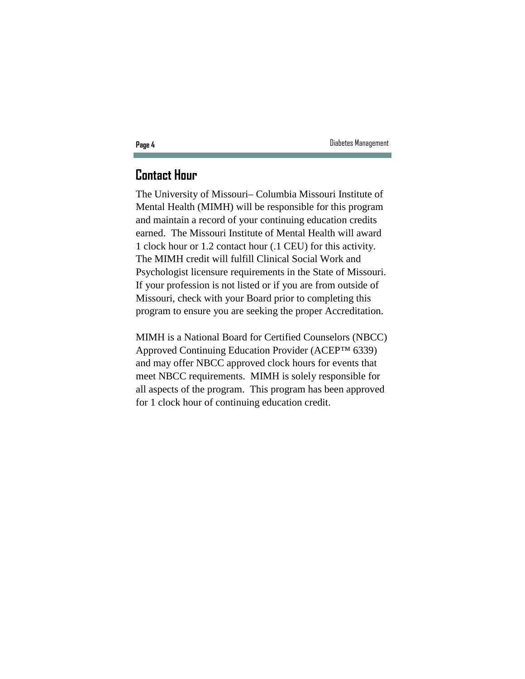## **Contact Hour**

The University of Missouri– Columbia Missouri Institute of Mental Health (MIMH) will be responsible for this program and maintain a record of your continuing education credits earned. The Missouri Institute of Mental Health will award 1 clock hour or 1.2 contact hour (.1 CEU) for this activity. The MIMH credit will fulfill Clinical Social Work and Psychologist licensure requirements in the State of Missouri. If your profession is not listed or if you are from outside of Missouri, check with your Board prior to completing this program to ensure you are seeking the proper Accreditation.

MIMH is a National Board for Certified Counselors (NBCC) Approved Continuing Education Provider (ACEP™ 6339) and may offer NBCC approved clock hours for events that meet NBCC requirements. MIMH is solely responsible for all aspects of the program. This program has been approved for 1 clock hour of continuing education credit.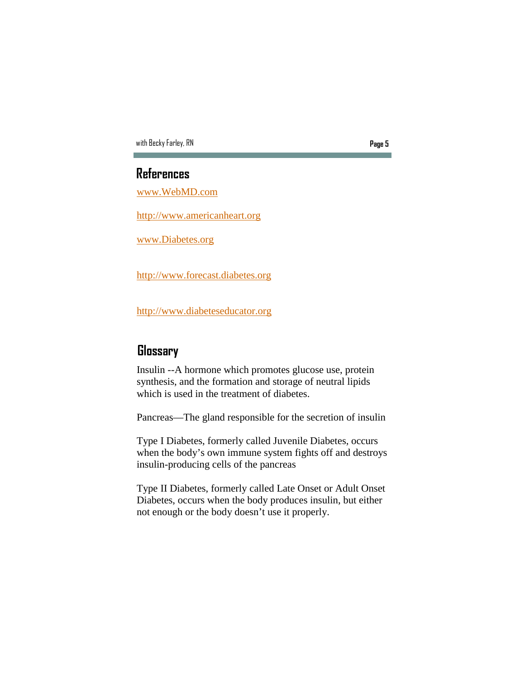### **References**

www.WebMD.com

http://www.americanheart.org

www.Diabetes.org

http://www.forecast.diabetes.org

http://www.diabeteseducator.org

## **Glossary**

Insulin --A hormone which promotes glucose use, protein synthesis, and the formation and storage of neutral lipids which is used in the treatment of diabetes.

Pancreas—The gland responsible for the secretion of insulin

Type I Diabetes, formerly called Juvenile Diabetes, occurs when the body's own immune system fights off and destroys insulin-producing cells of the pancreas

Type II Diabetes, formerly called Late Onset or Adult Onset Diabetes, occurs when the body produces insulin, but either not enough or the body doesn't use it properly.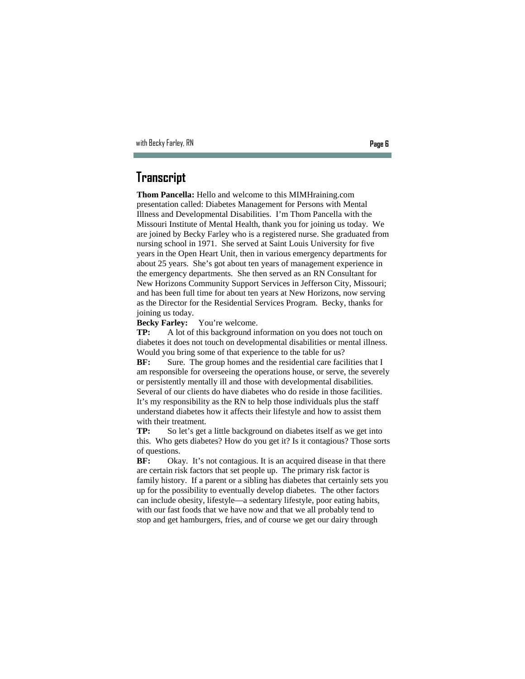### **Transcript**

**Thom Pancella:** Hello and welcome to this MIMHraining.com presentation called: Diabetes Management for Persons with Mental Illness and Developmental Disabilities. I'm Thom Pancella with the Missouri Institute of Mental Health, thank you for joining us today. We are joined by Becky Farley who is a registered nurse. She graduated from nursing school in 1971. She served at Saint Louis University for five years in the Open Heart Unit, then in various emergency departments for about 25 years. She's got about ten years of management experience in the emergency departments. She then served as an RN Consultant for New Horizons Community Support Services in Jefferson City, Missouri; and has been full time for about ten years at New Horizons, now serving as the Director for the Residential Services Program. Becky, thanks for joining us today.

**Becky Farley:** You're welcome.

**TP:** A lot of this background information on you does not touch on diabetes it does not touch on developmental disabilities or mental illness. Would you bring some of that experience to the table for us?

**BF:** Sure. The group homes and the residential care facilities that I am responsible for overseeing the operations house, or serve, the severely or persistently mentally ill and those with developmental disabilities. Several of our clients do have diabetes who do reside in those facilities. It's my responsibility as the RN to help those individuals plus the staff understand diabetes how it affects their lifestyle and how to assist them with their treatment.

**TP:** So let's get a little background on diabetes itself as we get into this. Who gets diabetes? How do you get it? Is it contagious? Those sorts of questions.

BF: Okay. It's not contagious. It is an acquired disease in that there are certain risk factors that set people up. The primary risk factor is family history. If a parent or a sibling has diabetes that certainly sets you up for the possibility to eventually develop diabetes. The other factors can include obesity, lifestyle—a sedentary lifestyle, poor eating habits, with our fast foods that we have now and that we all probably tend to stop and get hamburgers, fries, and of course we get our dairy through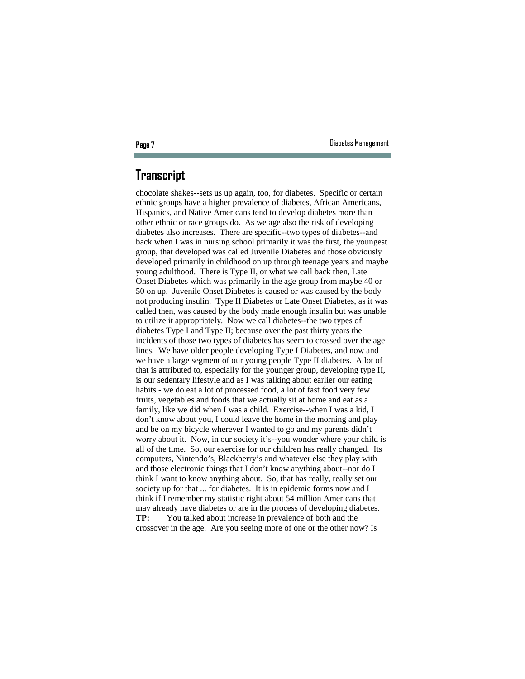### **Transcript**

chocolate shakes--sets us up again, too, for diabetes. Specific or certain ethnic groups have a higher prevalence of diabetes, African Americans, Hispanics, and Native Americans tend to develop diabetes more than other ethnic or race groups do. As we age also the risk of developing diabetes also increases. There are specific--two types of diabetes--and back when I was in nursing school primarily it was the first, the youngest group, that developed was called Juvenile Diabetes and those obviously developed primarily in childhood on up through teenage years and maybe young adulthood. There is Type II, or what we call back then, Late Onset Diabetes which was primarily in the age group from maybe 40 or 50 on up. Juvenile Onset Diabetes is caused or was caused by the body not producing insulin. Type II Diabetes or Late Onset Diabetes, as it was called then, was caused by the body made enough insulin but was unable to utilize it appropriately. Now we call diabetes--the two types of diabetes Type I and Type II; because over the past thirty years the incidents of those two types of diabetes has seem to crossed over the age lines. We have older people developing Type I Diabetes, and now and we have a large segment of our young people Type II diabetes. A lot of that is attributed to, especially for the younger group, developing type II, is our sedentary lifestyle and as I was talking about earlier our eating habits - we do eat a lot of processed food, a lot of fast food very few fruits, vegetables and foods that we actually sit at home and eat as a family, like we did when I was a child. Exercise--when I was a kid, I don't know about you, I could leave the home in the morning and play and be on my bicycle wherever I wanted to go and my parents didn't worry about it. Now, in our society it's--you wonder where your child is all of the time. So, our exercise for our children has really changed. Its computers, Nintendo's, Blackberry's and whatever else they play with and those electronic things that I don't know anything about--nor do I think I want to know anything about. So, that has really, really set our society up for that ... for diabetes. It is in epidemic forms now and I think if I remember my statistic right about 54 million Americans that may already have diabetes or are in the process of developing diabetes. **TP:** You talked about increase in prevalence of both and the crossover in the age. Are you seeing more of one or the other now? Is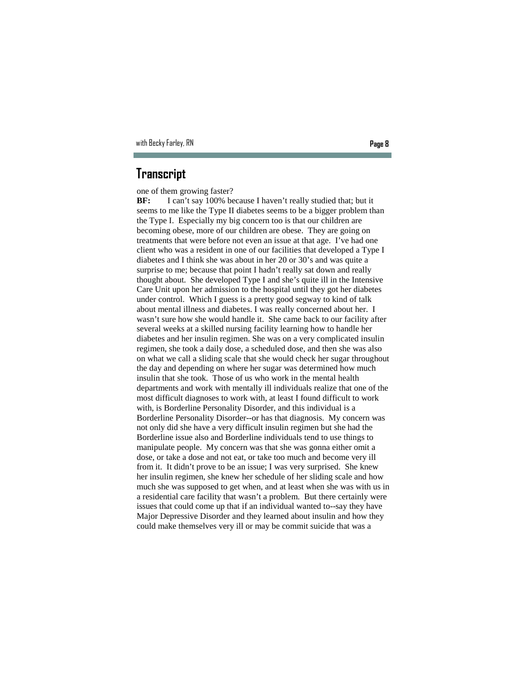### **Transcript**

one of them growing faster?

**BF:** I can't say 100% because I haven't really studied that; but it seems to me like the Type II diabetes seems to be a bigger problem than the Type I. Especially my big concern too is that our children are becoming obese, more of our children are obese. They are going on treatments that were before not even an issue at that age. I've had one client who was a resident in one of our facilities that developed a Type I diabetes and I think she was about in her 20 or 30's and was quite a surprise to me; because that point I hadn't really sat down and really thought about. She developed Type I and she's quite ill in the Intensive Care Unit upon her admission to the hospital until they got her diabetes under control. Which I guess is a pretty good segway to kind of talk about mental illness and diabetes. I was really concerned about her. I wasn't sure how she would handle it. She came back to our facility after several weeks at a skilled nursing facility learning how to handle her diabetes and her insulin regimen. She was on a very complicated insulin regimen, she took a daily dose, a scheduled dose, and then she was also on what we call a sliding scale that she would check her sugar throughout the day and depending on where her sugar was determined how much insulin that she took. Those of us who work in the mental health departments and work with mentally ill individuals realize that one of the most difficult diagnoses to work with, at least I found difficult to work with, is Borderline Personality Disorder, and this individual is a Borderline Personality Disorder--or has that diagnosis. My concern was not only did she have a very difficult insulin regimen but she had the Borderline issue also and Borderline individuals tend to use things to manipulate people. My concern was that she was gonna either omit a dose, or take a dose and not eat, or take too much and become very ill from it. It didn't prove to be an issue; I was very surprised. She knew her insulin regimen, she knew her schedule of her sliding scale and how much she was supposed to get when, and at least when she was with us in a residential care facility that wasn't a problem. But there certainly were issues that could come up that if an individual wanted to--say they have Major Depressive Disorder and they learned about insulin and how they could make themselves very ill or may be commit suicide that was a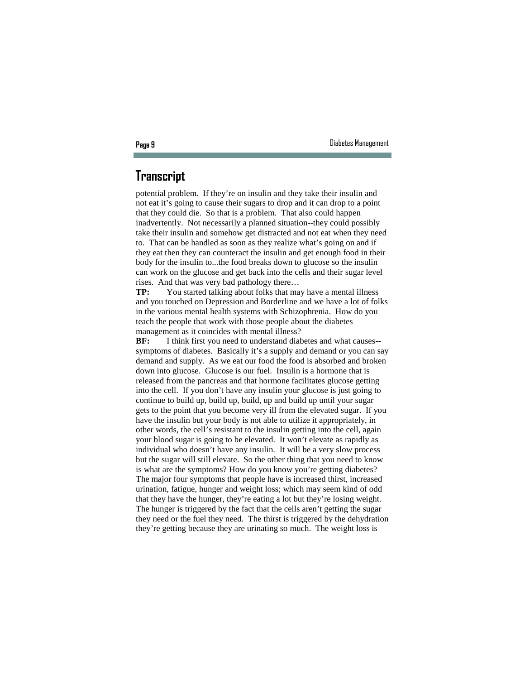### **Transcript**

potential problem. If they're on insulin and they take their insulin and not eat it's going to cause their sugars to drop and it can drop to a point that they could die. So that is a problem. That also could happen inadvertently. Not necessarily a planned situation--they could possibly take their insulin and somehow get distracted and not eat when they need to. That can be handled as soon as they realize what's going on and if they eat then they can counteract the insulin and get enough food in their body for the insulin to...the food breaks down to glucose so the insulin can work on the glucose and get back into the cells and their sugar level rises. And that was very bad pathology there…

**TP:** You started talking about folks that may have a mental illness and you touched on Depression and Borderline and we have a lot of folks in the various mental health systems with Schizophrenia. How do you teach the people that work with those people about the diabetes management as it coincides with mental illness?

**BF:** I think first you need to understand diabetes and what causes-symptoms of diabetes. Basically it's a supply and demand or you can say demand and supply. As we eat our food the food is absorbed and broken down into glucose. Glucose is our fuel. Insulin is a hormone that is released from the pancreas and that hormone facilitates glucose getting into the cell. If you don't have any insulin your glucose is just going to continue to build up, build up, build, up and build up until your sugar gets to the point that you become very ill from the elevated sugar. If you have the insulin but your body is not able to utilize it appropriately, in other words, the cell's resistant to the insulin getting into the cell, again your blood sugar is going to be elevated. It won't elevate as rapidly as individual who doesn't have any insulin. It will be a very slow process but the sugar will still elevate. So the other thing that you need to know is what are the symptoms? How do you know you're getting diabetes? The major four symptoms that people have is increased thirst, increased urination, fatigue, hunger and weight loss; which may seem kind of odd that they have the hunger, they're eating a lot but they're losing weight. The hunger is triggered by the fact that the cells aren't getting the sugar they need or the fuel they need. The thirst is triggered by the dehydration they're getting because they are urinating so much. The weight loss is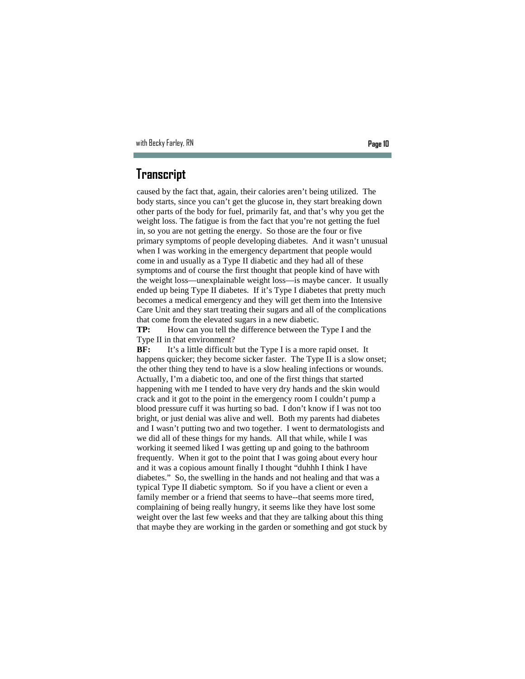### **Transcript**

caused by the fact that, again, their calories aren't being utilized. The body starts, since you can't get the glucose in, they start breaking down other parts of the body for fuel, primarily fat, and that's why you get the weight loss. The fatigue is from the fact that you're not getting the fuel in, so you are not getting the energy. So those are the four or five primary symptoms of people developing diabetes. And it wasn't unusual when I was working in the emergency department that people would come in and usually as a Type II diabetic and they had all of these symptoms and of course the first thought that people kind of have with the weight loss—unexplainable weight loss—is maybe cancer. It usually ended up being Type II diabetes. If it's Type I diabetes that pretty much becomes a medical emergency and they will get them into the Intensive Care Unit and they start treating their sugars and all of the complications that come from the elevated sugars in a new diabetic.

**TP:** How can you tell the difference between the Type I and the Type II in that environment?

**BF:** It's a little difficult but the Type I is a more rapid onset. It happens quicker; they become sicker faster. The Type II is a slow onset; the other thing they tend to have is a slow healing infections or wounds. Actually, I'm a diabetic too, and one of the first things that started happening with me I tended to have very dry hands and the skin would crack and it got to the point in the emergency room I couldn't pump a blood pressure cuff it was hurting so bad. I don't know if I was not too bright, or just denial was alive and well. Both my parents had diabetes and I wasn't putting two and two together. I went to dermatologists and we did all of these things for my hands. All that while, while I was working it seemed liked I was getting up and going to the bathroom frequently. When it got to the point that I was going about every hour and it was a copious amount finally I thought "duhhh I think I have diabetes." So, the swelling in the hands and not healing and that was a typical Type II diabetic symptom. So if you have a client or even a family member or a friend that seems to have--that seems more tired, complaining of being really hungry, it seems like they have lost some weight over the last few weeks and that they are talking about this thing that maybe they are working in the garden or something and got stuck by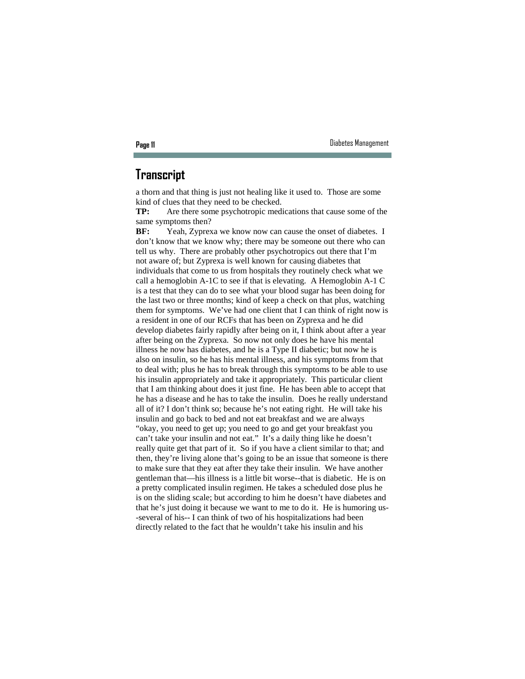#### **Transcript**

a thorn and that thing is just not healing like it used to. Those are some kind of clues that they need to be checked.

**TP:** Are there some psychotropic medications that cause some of the same symptoms then?

**BF:** Yeah, Zyprexa we know now can cause the onset of diabetes. I don't know that we know why; there may be someone out there who can tell us why. There are probably other psychotropics out there that I'm not aware of; but Zyprexa is well known for causing diabetes that individuals that come to us from hospitals they routinely check what we call a hemoglobin A-1C to see if that is elevating. A Hemoglobin A-1 C is a test that they can do to see what your blood sugar has been doing for the last two or three months; kind of keep a check on that plus, watching them for symptoms. We've had one client that I can think of right now is a resident in one of our RCFs that has been on Zyprexa and he did develop diabetes fairly rapidly after being on it, I think about after a year after being on the Zyprexa. So now not only does he have his mental illness he now has diabetes, and he is a Type II diabetic; but now he is also on insulin, so he has his mental illness, and his symptoms from that to deal with; plus he has to break through this symptoms to be able to use his insulin appropriately and take it appropriately. This particular client that I am thinking about does it just fine. He has been able to accept that he has a disease and he has to take the insulin. Does he really understand all of it? I don't think so; because he's not eating right. He will take his insulin and go back to bed and not eat breakfast and we are always "okay, you need to get up; you need to go and get your breakfast you can't take your insulin and not eat." It's a daily thing like he doesn't really quite get that part of it. So if you have a client similar to that; and then, they're living alone that's going to be an issue that someone is there to make sure that they eat after they take their insulin. We have another gentleman that—his illness is a little bit worse--that is diabetic. He is on a pretty complicated insulin regimen. He takes a scheduled dose plus he is on the sliding scale; but according to him he doesn't have diabetes and that he's just doing it because we want to me to do it. He is humoring us- -several of his-- I can think of two of his hospitalizations had been directly related to the fact that he wouldn't take his insulin and his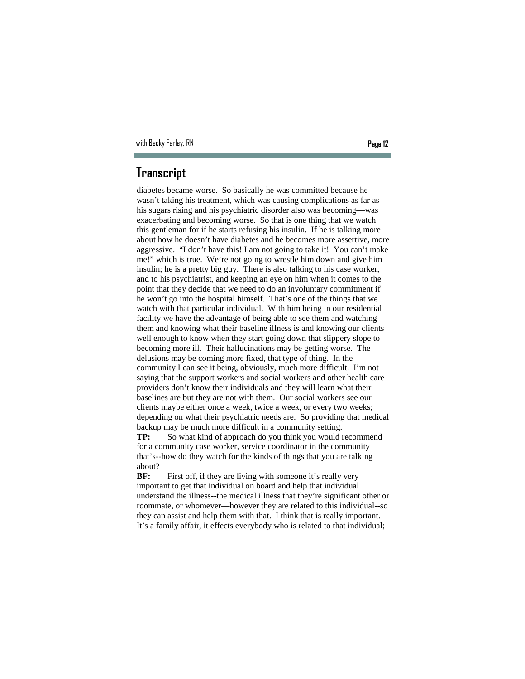### **Transcript**

diabetes became worse. So basically he was committed because he wasn't taking his treatment, which was causing complications as far as his sugars rising and his psychiatric disorder also was becoming—was exacerbating and becoming worse. So that is one thing that we watch this gentleman for if he starts refusing his insulin. If he is talking more about how he doesn't have diabetes and he becomes more assertive, more aggressive. "I don't have this! I am not going to take it! You can't make me!" which is true. We're not going to wrestle him down and give him insulin; he is a pretty big guy. There is also talking to his case worker, and to his psychiatrist, and keeping an eye on him when it comes to the point that they decide that we need to do an involuntary commitment if he won't go into the hospital himself. That's one of the things that we watch with that particular individual. With him being in our residential facility we have the advantage of being able to see them and watching them and knowing what their baseline illness is and knowing our clients well enough to know when they start going down that slippery slope to becoming more ill. Their hallucinations may be getting worse. The delusions may be coming more fixed, that type of thing. In the community I can see it being, obviously, much more difficult. I'm not saying that the support workers and social workers and other health care providers don't know their individuals and they will learn what their baselines are but they are not with them. Our social workers see our clients maybe either once a week, twice a week, or every two weeks; depending on what their psychiatric needs are. So providing that medical backup may be much more difficult in a community setting.

**TP:** So what kind of approach do you think you would recommend for a community case worker, service coordinator in the community that's--how do they watch for the kinds of things that you are talking about?

**BF:** First off, if they are living with someone it's really very important to get that individual on board and help that individual understand the illness--the medical illness that they're significant other or roommate, or whomever—however they are related to this individual--so they can assist and help them with that. I think that is really important. It's a family affair, it effects everybody who is related to that individual;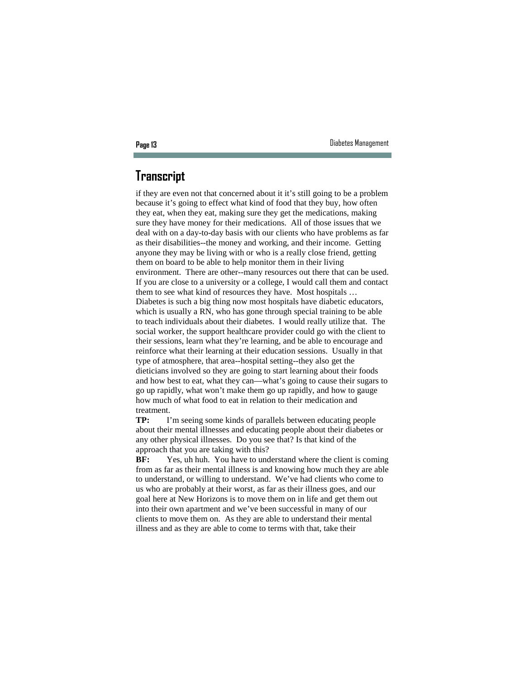## **Transcript**

if they are even not that concerned about it it's still going to be a problem because it's going to effect what kind of food that they buy, how often they eat, when they eat, making sure they get the medications, making sure they have money for their medications. All of those issues that we deal with on a day-to-day basis with our clients who have problems as far as their disabilities--the money and working, and their income. Getting anyone they may be living with or who is a really close friend, getting them on board to be able to help monitor them in their living environment. There are other--many resources out there that can be used. If you are close to a university or a college, I would call them and contact them to see what kind of resources they have. Most hospitals … Diabetes is such a big thing now most hospitals have diabetic educators, which is usually a RN, who has gone through special training to be able to teach individuals about their diabetes. I would really utilize that. The social worker, the support healthcare provider could go with the client to their sessions, learn what they're learning, and be able to encourage and reinforce what their learning at their education sessions. Usually in that type of atmosphere, that area--hospital setting--they also get the dieticians involved so they are going to start learning about their foods and how best to eat, what they can—what's going to cause their sugars to go up rapidly, what won't make them go up rapidly, and how to gauge how much of what food to eat in relation to their medication and treatment.

**TP:** I'm seeing some kinds of parallels between educating people about their mental illnesses and educating people about their diabetes or any other physical illnesses. Do you see that? Is that kind of the approach that you are taking with this?

**BF:** Yes, uh huh. You have to understand where the client is coming from as far as their mental illness is and knowing how much they are able to understand, or willing to understand. We've had clients who come to us who are probably at their worst, as far as their illness goes, and our goal here at New Horizons is to move them on in life and get them out into their own apartment and we've been successful in many of our clients to move them on. As they are able to understand their mental illness and as they are able to come to terms with that, take their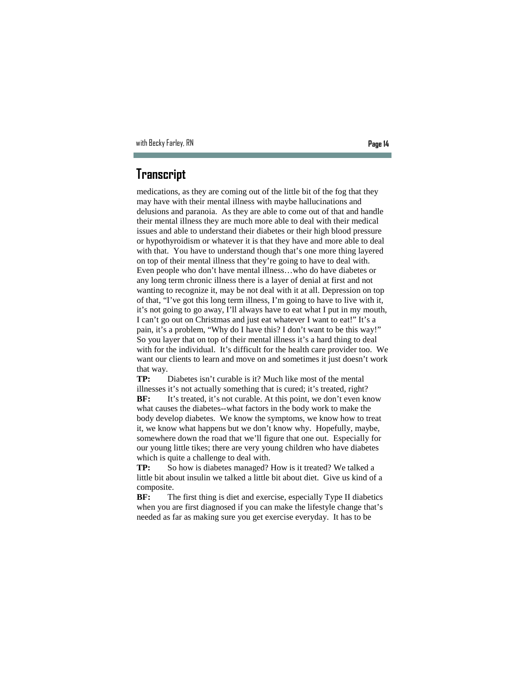### **Transcript**

medications, as they are coming out of the little bit of the fog that they may have with their mental illness with maybe hallucinations and delusions and paranoia. As they are able to come out of that and handle their mental illness they are much more able to deal with their medical issues and able to understand their diabetes or their high blood pressure or hypothyroidism or whatever it is that they have and more able to deal with that. You have to understand though that's one more thing layered on top of their mental illness that they're going to have to deal with. Even people who don't have mental illness…who do have diabetes or any long term chronic illness there is a layer of denial at first and not wanting to recognize it, may be not deal with it at all. Depression on top of that, "I've got this long term illness, I'm going to have to live with it, it's not going to go away, I'll always have to eat what I put in my mouth, I can't go out on Christmas and just eat whatever I want to eat!" It's a pain, it's a problem, "Why do I have this? I don't want to be this way!" So you layer that on top of their mental illness it's a hard thing to deal with for the individual. It's difficult for the health care provider too. We want our clients to learn and move on and sometimes it just doesn't work that way.

**TP:** Diabetes isn't curable is it? Much like most of the mental illnesses it's not actually something that is cured; it's treated, right? **BF:** It's treated, it's not curable. At this point, we don't even know what causes the diabetes--what factors in the body work to make the body develop diabetes. We know the symptoms, we know how to treat it, we know what happens but we don't know why. Hopefully, maybe, somewhere down the road that we'll figure that one out. Especially for our young little tikes; there are very young children who have diabetes which is quite a challenge to deal with.

**TP:** So how is diabetes managed? How is it treated? We talked a little bit about insulin we talked a little bit about diet. Give us kind of a composite.

**BF:** The first thing is diet and exercise, especially Type II diabetics when you are first diagnosed if you can make the lifestyle change that's needed as far as making sure you get exercise everyday. It has to be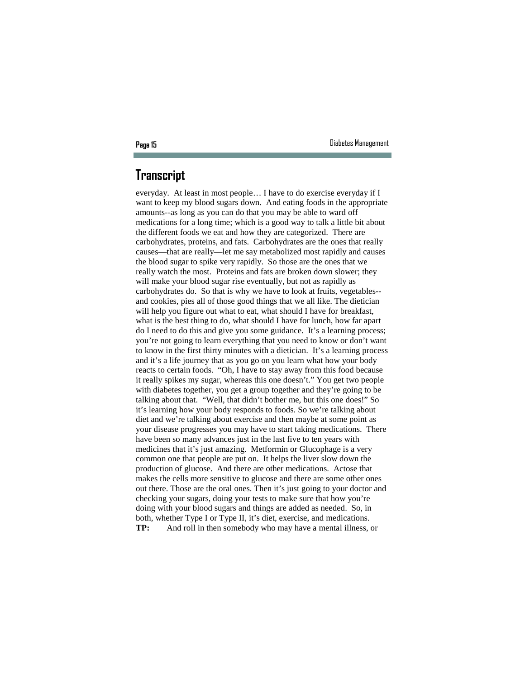### **Transcript**

everyday. At least in most people… I have to do exercise everyday if I want to keep my blood sugars down. And eating foods in the appropriate amounts--as long as you can do that you may be able to ward off medications for a long time; which is a good way to talk a little bit about the different foods we eat and how they are categorized. There are carbohydrates, proteins, and fats. Carbohydrates are the ones that really causes—that are really—let me say metabolized most rapidly and causes the blood sugar to spike very rapidly. So those are the ones that we really watch the most. Proteins and fats are broken down slower; they will make your blood sugar rise eventually, but not as rapidly as carbohydrates do. So that is why we have to look at fruits, vegetables- and cookies, pies all of those good things that we all like. The dietician will help you figure out what to eat, what should I have for breakfast, what is the best thing to do, what should I have for lunch, how far apart do I need to do this and give you some guidance. It's a learning process; you're not going to learn everything that you need to know or don't want to know in the first thirty minutes with a dietician. It's a learning process and it's a life journey that as you go on you learn what how your body reacts to certain foods. "Oh, I have to stay away from this food because it really spikes my sugar, whereas this one doesn't." You get two people with diabetes together, you get a group together and they're going to be talking about that. "Well, that didn't bother me, but this one does!" So it's learning how your body responds to foods. So we're talking about diet and we're talking about exercise and then maybe at some point as your disease progresses you may have to start taking medications. There have been so many advances just in the last five to ten years with medicines that it's just amazing. Metformin or Glucophage is a very common one that people are put on. It helps the liver slow down the production of glucose. And there are other medications. Actose that makes the cells more sensitive to glucose and there are some other ones out there. Those are the oral ones. Then it's just going to your doctor and checking your sugars, doing your tests to make sure that how you're doing with your blood sugars and things are added as needed. So, in both, whether Type I or Type II, it's diet, exercise, and medications. **TP:** And roll in then somebody who may have a mental illness, or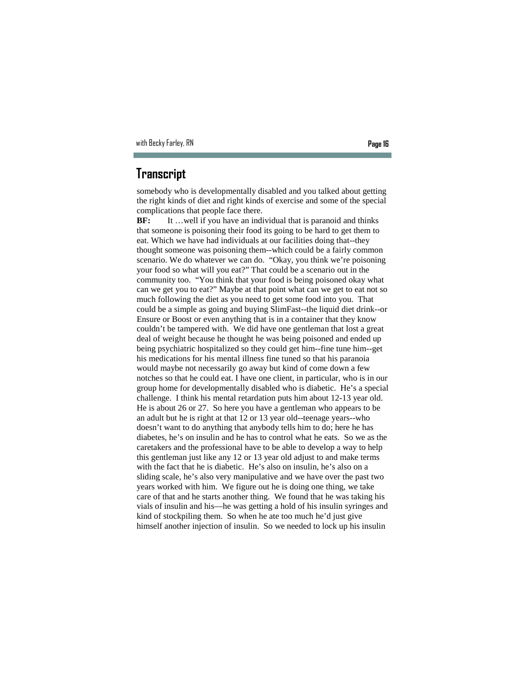### **Transcript**

somebody who is developmentally disabled and you talked about getting the right kinds of diet and right kinds of exercise and some of the special complications that people face there.

**BF:** It ... well if you have an individual that is paranoid and thinks that someone is poisoning their food its going to be hard to get them to eat. Which we have had individuals at our facilities doing that--they thought someone was poisoning them--which could be a fairly common scenario. We do whatever we can do. "Okay, you think we're poisoning your food so what will you eat?" That could be a scenario out in the community too. "You think that your food is being poisoned okay what can we get you to eat?" Maybe at that point what can we get to eat not so much following the diet as you need to get some food into you. That could be a simple as going and buying SlimFast--the liquid diet drink--or Ensure or Boost or even anything that is in a container that they know couldn't be tampered with. We did have one gentleman that lost a great deal of weight because he thought he was being poisoned and ended up being psychiatric hospitalized so they could get him--fine tune him--get his medications for his mental illness fine tuned so that his paranoia would maybe not necessarily go away but kind of come down a few notches so that he could eat. I have one client, in particular, who is in our group home for developmentally disabled who is diabetic. He's a special challenge. I think his mental retardation puts him about 12-13 year old. He is about 26 or 27. So here you have a gentleman who appears to be an adult but he is right at that 12 or 13 year old--teenage years--who doesn't want to do anything that anybody tells him to do; here he has diabetes, he's on insulin and he has to control what he eats. So we as the caretakers and the professional have to be able to develop a way to help this gentleman just like any 12 or 13 year old adjust to and make terms with the fact that he is diabetic. He's also on insulin, he's also on a sliding scale, he's also very manipulative and we have over the past two years worked with him. We figure out he is doing one thing, we take care of that and he starts another thing. We found that he was taking his vials of insulin and his—he was getting a hold of his insulin syringes and kind of stockpiling them. So when he ate too much he'd just give himself another injection of insulin. So we needed to lock up his insulin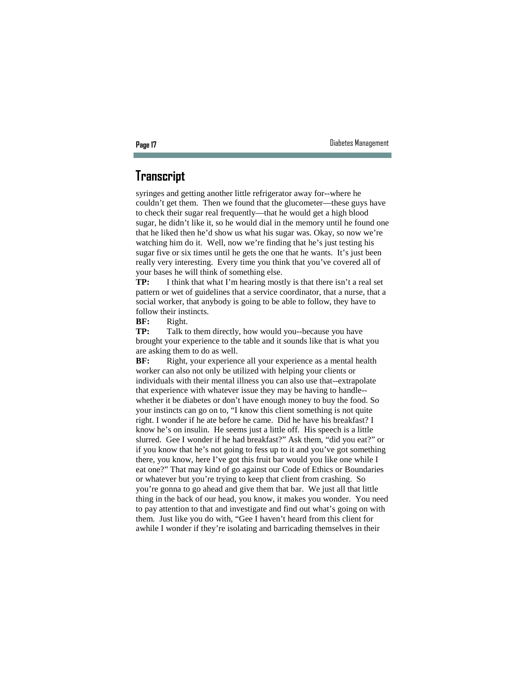## **Transcript**

syringes and getting another little refrigerator away for--where he couldn't get them. Then we found that the glucometer—these guys have to check their sugar real frequently—that he would get a high blood sugar, he didn't like it, so he would dial in the memory until he found one that he liked then he'd show us what his sugar was. Okay, so now we're watching him do it. Well, now we're finding that he's just testing his sugar five or six times until he gets the one that he wants. It's just been really very interesting. Every time you think that you've covered all of your bases he will think of something else.

**TP:** I think that what I'm hearing mostly is that there isn't a real set pattern or wet of guidelines that a service coordinator, that a nurse, that a social worker, that anybody is going to be able to follow, they have to follow their instincts.

**BF:** Right.

**TP:** Talk to them directly, how would you--because you have brought your experience to the table and it sounds like that is what you are asking them to do as well.

**BF:** Right, your experience all your experience as a mental health worker can also not only be utilized with helping your clients or individuals with their mental illness you can also use that--extrapolate that experience with whatever issue they may be having to handle- whether it be diabetes or don't have enough money to buy the food. So your instincts can go on to, "I know this client something is not quite right. I wonder if he ate before he came. Did he have his breakfast? I know he's on insulin. He seems just a little off. His speech is a little slurred. Gee I wonder if he had breakfast?" Ask them, "did you eat?" or if you know that he's not going to fess up to it and you've got something there, you know, here I've got this fruit bar would you like one while I eat one?" That may kind of go against our Code of Ethics or Boundaries or whatever but you're trying to keep that client from crashing. So you're gonna to go ahead and give them that bar. We just all that little thing in the back of our head, you know, it makes you wonder. You need to pay attention to that and investigate and find out what's going on with them. Just like you do with, "Gee I haven't heard from this client for awhile I wonder if they're isolating and barricading themselves in their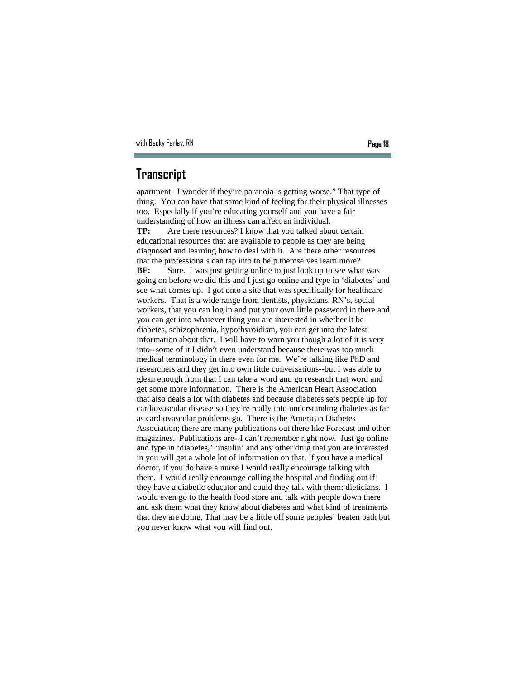### **Transcript**

apartment. I wonder if they're paranoia is getting worse." That type of thing. You can have that same kind of feeling for their physical illnesses too. Especially if you're educating yourself and you have a fair understanding of how an illness can affect an individual.

**TP:** Are there resources? I know that you talked about certain educational resources that are available to people as they are being diagnosed and learning how to deal with it. Are there other resources that the professionals can tap into to help themselves learn more? **BF:** Sure. I was just getting online to just look up to see what was going on before we did this and I just go online and type in 'diabetes' and see what comes up. I got onto a site that was specifically for healthcare workers. That is a wide range from dentists, physicians, RN's, social workers, that you can log in and put your own little password in there and you can get into whatever thing you are interested in whether it be diabetes, schizophrenia, hypothyroidism, you can get into the latest information about that. I will have to warn you though a lot of it is very into--some of it I didn't even understand because there was too much medical terminology in there even for me. We're talking like PhD and researchers and they get into own little conversations--but I was able to glean enough from that I can take a word and go research that word and get some more information. There is the American Heart Association that also deals a lot with diabetes and because diabetes sets people up for cardiovascular disease so they're really into understanding diabetes as far as cardiovascular problems go. There is the American Diabetes Association; there are many publications out there like Forecast and other magazines. Publications are--I can't remember right now. Just go online and type in 'diabetes,' 'insulin' and any other drug that you are interested in you will get a whole lot of information on that. If you have a medical doctor, if you do have a nurse I would really encourage talking with them. I would really encourage calling the hospital and finding out if they have a diabetic educator and could they talk with them; dieticians. I would even go to the health food store and talk with people down there and ask them what they know about diabetes and what kind of treatments that they are doing. That may be a little off some peoples' beaten path but you never know what you will find out.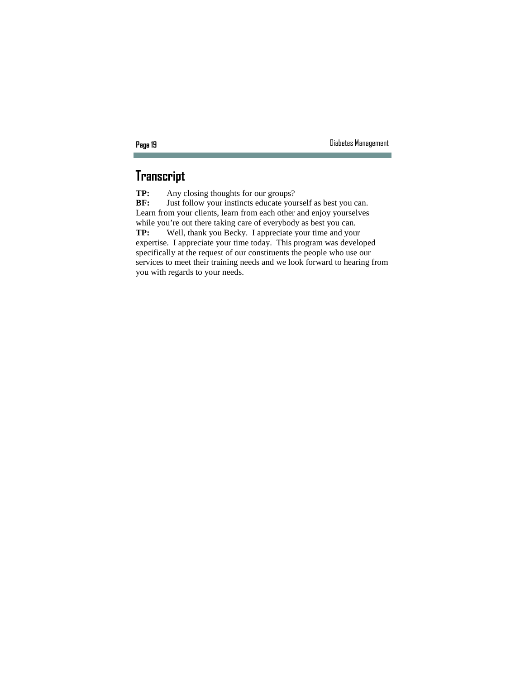## **Transcript**

**TP:** Any closing thoughts for our groups?<br>**BF:** Just follow your instincts educate you Just follow your instincts educate yourself as best you can. Learn from your clients, learn from each other and enjoy yourselves while you're out there taking care of everybody as best you can. **TP:** Well, thank you Becky. I appreciate your time and your expertise. I appreciate your time today. This program was developed specifically at the request of our constituents the people who use our services to meet their training needs and we look forward to hearing from you with regards to your needs.

п